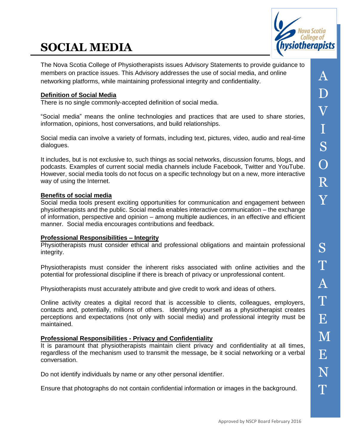# **SOCIAL MEDIA**



A

D

 $\bar{\bm{\mathsf{V}}}$ 

I

The Nova Scotia College of Physiotherapists issues Advisory Statements to provide guidance to members on practice issues. This Advisory addresses the use of social media, and online networking platforms, while maintaining professional integrity and confidentiality.

# **Definition of Social Media**

There is no single commonly-accepted definition of social media.

"Social media" means the online technologies and practices that are used to share stories, information, opinions, host conversations, and build relationships.

Social media can involve a variety of formats, including text, pictures, video, audio and real-time dialogues.

It includes, but is not exclusive to, such things as social networks, discussion forums, blogs, and podcasts. Examples of current social media channels include Facebook, Twitter and YouTube. However, social media tools do not focus on a specific technology but on a new, more interactive way of using the Internet.

## **Benefits of social media**

Social media tools present exciting opportunities for communication and engagement between physiotherapists and the public. Social media enables interactive communication – the exchange of information, perspective and opinion – among multiple audiences, in an effective and efficient manner. Social media encourages contributions and feedback.

#### **Professional Responsibilities – Integrity**

Physiotherapists must consider ethical and professional obligations and maintain professional integrity.

Physiotherapists must consider the inherent risks associated with online activities and the potential for professional discipline if there is breach of privacy or unprofessional content.

Physiotherapists must accurately attribute and give credit to work and ideas of others.

Online activity creates a digital record that is accessible to clients, colleagues, employers, contacts and, potentially, millions of others. Identifying yourself as a physiotherapist creates perceptions and expectations (not only with social media) and professional integrity must be maintained.

#### **Professional Responsibilities - Privacy and Confidentiality**

It is paramount that physiotherapists maintain client privacy and confidentiality at all times, regardless of the mechanism used to transmit the message, be it social networking or a verbal conversation.

Do not identify individuals by name or any other personal identifier.

Ensure that photographs do not contain confidential information or images in the background.

T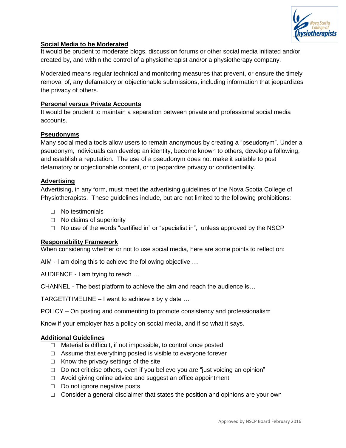

#### **Social Media to be Moderated**

It would be prudent to moderate blogs, discussion forums or other social media initiated and/or created by, and within the control of a physiotherapist and/or a physiotherapy company.

Moderated means regular technical and monitoring measures that prevent, or ensure the timely removal of, any defamatory or objectionable submissions, including information that jeopardizes the privacy of others.

## **Personal versus Private Accounts**

It would be prudent to maintain a separation between private and professional social media accounts.

#### **Pseudonyms**

Many social media tools allow users to remain anonymous by creating a "pseudonym". Under a pseudonym, individuals can develop an identity, become known to others, develop a following, and establish a reputation. The use of a pseudonym does not make it suitable to post defamatory or objectionable content, or to jeopardize privacy or confidentiality.

#### **Advertising**

Advertising, in any form, must meet the advertising guidelines of the Nova Scotia College of Physiotherapists. These guidelines include, but are not limited to the following prohibitions:

- □ No testimonials
- □ No claims of superiority
- $\Box$  No use of the words "certified in" or "specialist in", unless approved by the NSCP

#### **Responsibility Framework**

When considering whether or not to use social media, here are some points to reflect on:

AIM - I am doing this to achieve the following objective …

AUDIENCE - I am trying to reach …

CHANNEL - The best platform to achieve the aim and reach the audience is…

TARGET/TIMELINE – I want to achieve x by y date  $\dots$ 

POLICY – On posting and commenting to promote consistency and professionalism

Know if your employer has a policy on social media, and if so what it says.

#### **Additional Guidelines**

- □ Material is difficult, if not impossible, to control once posted
- $\Box$  Assume that everything posted is visible to everyone forever
- $\Box$  Know the privacy settings of the site
- $\Box$  Do not criticise others, even if you believe you are "just voicing an opinion"
- $\Box$  Avoid giving online advice and suggest an office appointment
- □ Do not ignore negative posts
- $\Box$  Consider a general disclaimer that states the position and opinions are your own